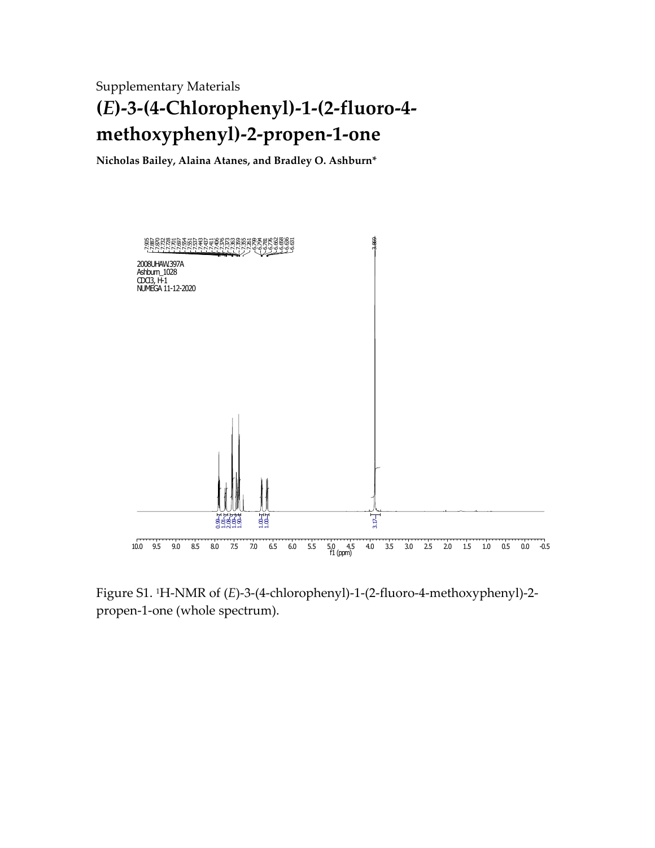Supplementary Materials **(***E***)-3-(4-Chlorophenyl)-1-(2-fluoro-4 methoxyphenyl)-2-propen-1-one**

**Nicholas Bailey, Alaina Atanes, and Bradley O. Ashburn\***



Figure S1. 1H-NMR of (*E*)-3-(4-chlorophenyl)-1-(2-fluoro-4-methoxyphenyl)-2 propen-1-one (whole spectrum).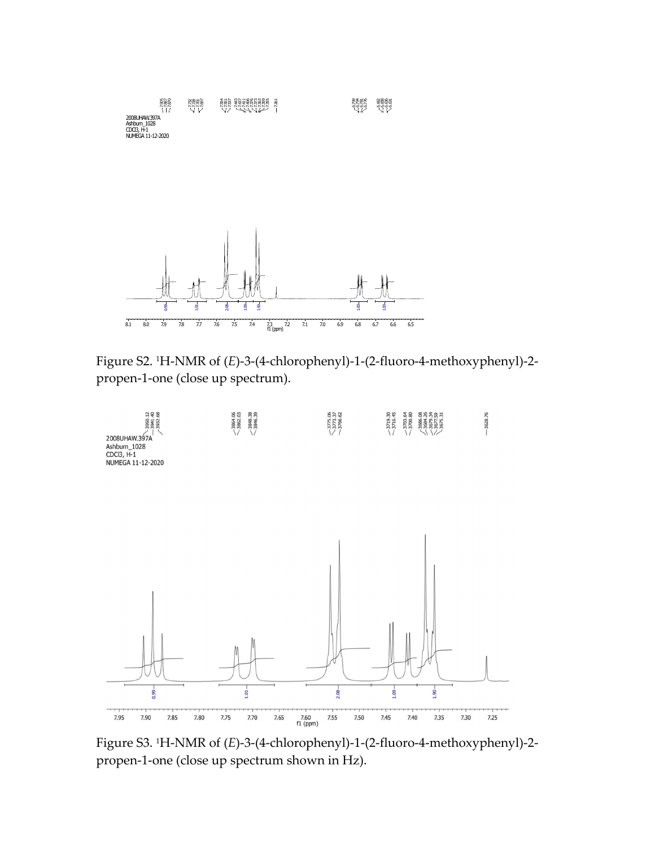

Figure S2. <sup>1</sup>H-NMR of (*E*)-3-(4-chlorophenyl)-1-(2-fluoro-4-methoxyphenyl)-2 propen-1-one (close up spectrum).



Figure S3. <sup>1</sup>H-NMR of (*E*)-3-(4-chlorophenyl)-1-(2-fluoro-4-methoxyphenyl)-2 propen-1-one (close up spectrum shown in Hz).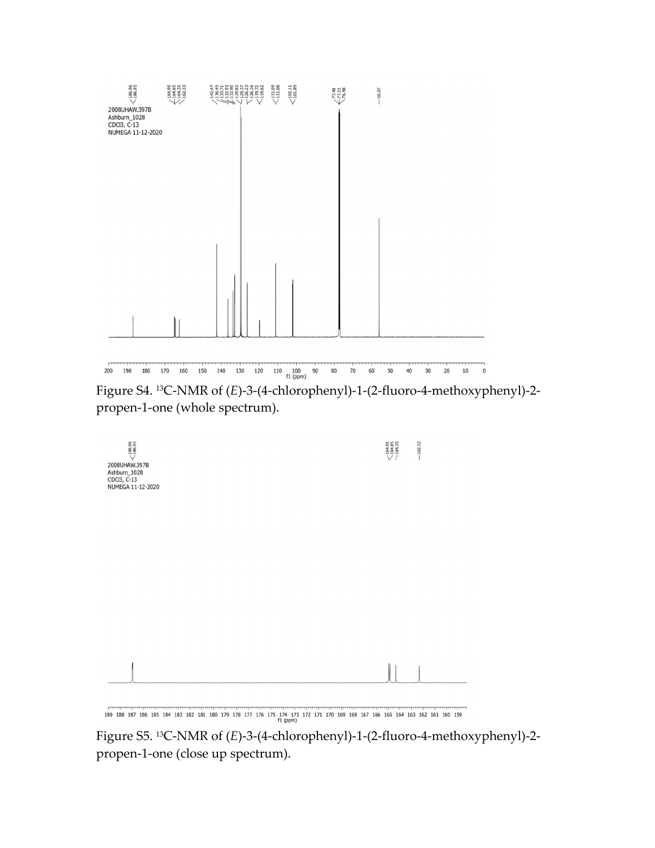

Figure S4. <sup>13</sup>C-NMR of (*E*)-3-(4-chlorophenyl)-1-(2-fluoro-4-methoxyphenyl)-2 propen-1-one (whole spectrum).

| $\zeta_{186.95}^{186.96}$<br>2008UHAW.397B<br>Ashburn_1028<br>CDCl3, C-13<br>NUMEGA 11-12-2020 | $\times$ 164.95<br>$\times$ 164.85<br>$\times$ 164.35 | $-162.33$ |
|------------------------------------------------------------------------------------------------|-------------------------------------------------------|-----------|
|                                                                                                |                                                       |           |
|                                                                                                |                                                       |           |
|                                                                                                |                                                       |           |

189 188 187 186 185 184 183 182 181 180 179 178 177 176 175 174 173 172 171 170 169 168 167 166 165 164 163 162 161 160 159

Figure S5. <sup>13</sup>C-NMR of (*E*)-3-(4-chlorophenyl)-1-(2-fluoro-4-methoxyphenyl)-2 propen-1-one (close up spectrum).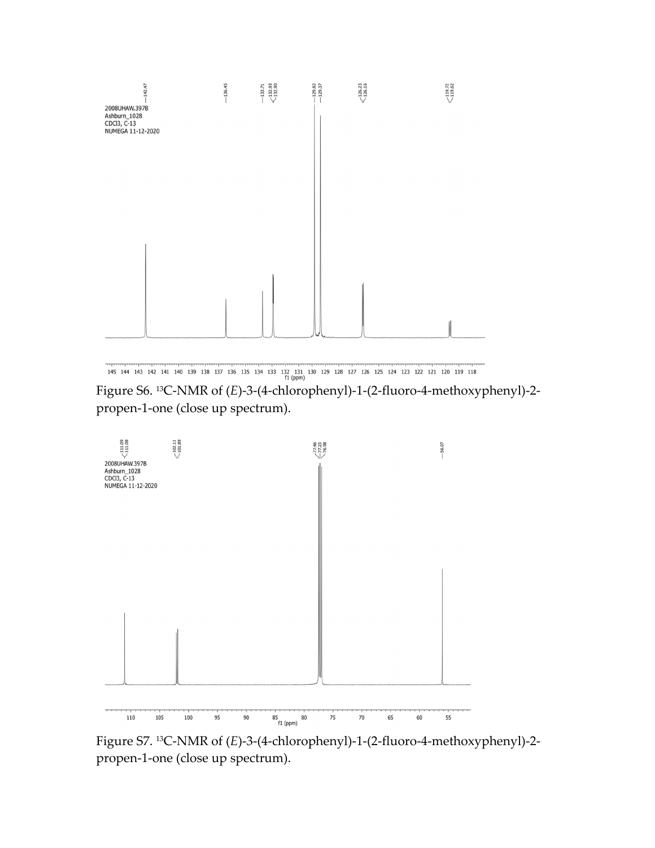

145 144 143 142 141 140 139 138 137 136 135 134 133 132 131 130 129 128 127 126 125 124 123 122 121 120 119 118<br>
m (ppm)

Figure S6. <sup>13</sup>C-NMR of (*E*)-3-(4-chlorophenyl)-1-(2-fluoro-4-methoxyphenyl)-2 propen-1-one (close up spectrum).



Figure S7. <sup>13</sup>C-NMR of (*E*)-3-(4-chlorophenyl)-1-(2-fluoro-4-methoxyphenyl)-2 propen-1-one (close up spectrum).